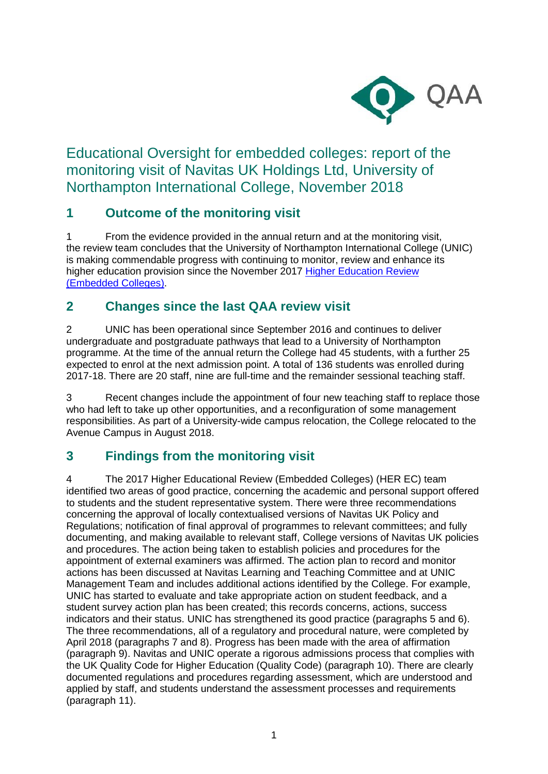

Educational Oversight for embedded colleges: report of the monitoring visit of Navitas UK Holdings Ltd, University of Northampton International College, November 2018

## **1 Outcome of the monitoring visit**

1 From the evidence provided in the annual return and at the monitoring visit, the review team concludes that the University of Northampton International College (UNIC) is making commendable progress with continuing to monitor, review and enhance its higher education provision since the November 2017 Higher Education Review (Embedded Colleges).

#### **2 Changes since the last QAA review visit**

2 UNIC has been operational since September 2016 and continues to deliver undergraduate and postgraduate pathways that lead to a University of Northampton programme. At the time of the annual return the College had 45 students, with a further 25 expected to enrol at the next admission point. A total of 136 students was enrolled during 2017-18. There are 20 staff, nine are full-time and the remainder sessional teaching staff.

3 Recent changes include the appointment of four new teaching staff to replace those who had left to take up other opportunities, and a reconfiguration of some management responsibilities. As part of a University-wide campus relocation, the College relocated to the Avenue Campus in August 2018.

## **3 Findings from the monitoring visit**

4 The 2017 Higher Educational Review (Embedded Colleges) (HER EC) team identified two areas of good practice, concerning the academic and personal support offered to students and the student representative system. There were three recommendations concerning the approval of locally contextualised versions of Navitas UK Policy and Regulations; notification of final approval of programmes to relevant committees; and fully documenting, and making available to relevant staff, College versions of Navitas UK policies and procedures. The action being taken to establish policies and procedures for the appointment of external examiners was affirmed. The action plan to record and monitor actions has been discussed at Navitas Learning and Teaching Committee and at UNIC Management Team and includes additional actions identified by the College. For example, UNIC has started to evaluate and take appropriate action on student feedback, and a student survey action plan has been created; this records concerns, actions, success indicators and their status. UNIC has strengthened its good practice (paragraphs 5 and 6). The three recommendations, all of a regulatory and procedural nature, were completed by April 2018 (paragraphs 7 and 8). Progress has been made with the area of affirmation (paragraph 9). Navitas and UNIC operate a rigorous admissions process that complies with the UK Quality Code for Higher Education (Quality Code) (paragraph 10). There are clearly documented regulations and procedures regarding assessment, which are understood and applied by staff, and students understand the assessment processes and requirements (paragraph 11).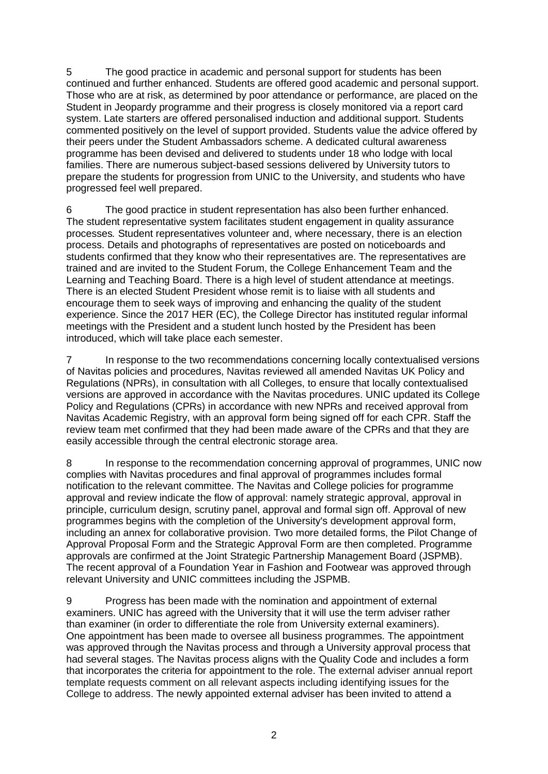5 The good practice in academic and personal support for students has been continued and further enhanced. Students are offered good academic and personal support. Those who are at risk, as determined by poor attendance or performance, are placed on the Student in Jeopardy programme and their progress is closely monitored via a report card system. Late starters are offered personalised induction and additional support. Students commented positively on the level of support provided. Students value the advice offered by their peers under the Student Ambassadors scheme. A dedicated cultural awareness programme has been devised and delivered to students under 18 who lodge with local families. There are numerous subject-based sessions delivered by University tutors to prepare the students for progression from UNIC to the University, and students who have progressed feel well prepared.

6 The good practice in student representation has also been further enhanced. The student representative system facilitates student engagement in quality assurance processes*.* Student representatives volunteer and, where necessary, there is an election process. Details and photographs of representatives are posted on noticeboards and students confirmed that they know who their representatives are. The representatives are trained and are invited to the Student Forum, the College Enhancement Team and the Learning and Teaching Board. There is a high level of student attendance at meetings. There is an elected Student President whose remit is to liaise with all students and encourage them to seek ways of improving and enhancing the quality of the student experience. Since the 2017 HER (EC), the College Director has instituted regular informal meetings with the President and a student lunch hosted by the President has been introduced, which will take place each semester.

7 In response to the two recommendations concerning locally contextualised versions of Navitas policies and procedures, Navitas reviewed all amended Navitas UK Policy and Regulations (NPRs), in consultation with all Colleges, to ensure that locally contextualised versions are approved in accordance with the Navitas procedures. UNIC updated its College Policy and Regulations (CPRs) in accordance with new NPRs and received approval from Navitas Academic Registry, with an approval form being signed off for each CPR. Staff the review team met confirmed that they had been made aware of the CPRs and that they are easily accessible through the central electronic storage area.

8 In response to the recommendation concerning approval of programmes, UNIC now complies with Navitas procedures and final approval of programmes includes formal notification to the relevant committee. The Navitas and College policies for programme approval and review indicate the flow of approval: namely strategic approval, approval in principle, curriculum design, scrutiny panel, approval and formal sign off. Approval of new programmes begins with the completion of the University's development approval form, including an annex for collaborative provision. Two more detailed forms, the Pilot Change of Approval Proposal Form and the Strategic Approval Form are then completed. Programme approvals are confirmed at the Joint Strategic Partnership Management Board (JSPMB). The recent approval of a Foundation Year in Fashion and Footwear was approved through relevant University and UNIC committees including the JSPMB.

9 Progress has been made with the nomination and appointment of external examiners. UNIC has agreed with the University that it will use the term adviser rather than examiner (in order to differentiate the role from University external examiners). One appointment has been made to oversee all business programmes. The appointment was approved through the Navitas process and through a University approval process that had several stages. The Navitas process aligns with the Quality Code and includes a form that incorporates the criteria for appointment to the role. The external adviser annual report template requests comment on all relevant aspects including identifying issues for the College to address. The newly appointed external adviser has been invited to attend a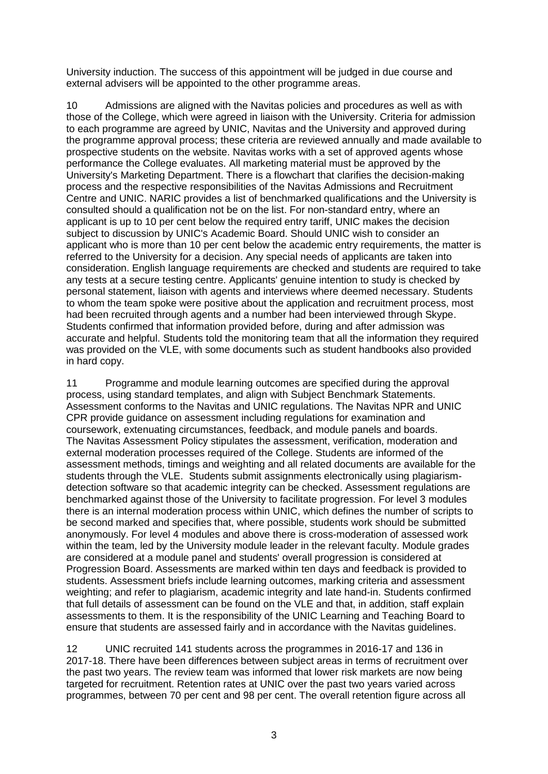University induction. The success of this appointment will be judged in due course and external advisers will be appointed to the other programme areas.

10 Admissions are aligned with the Navitas policies and procedures as well as with those of the College, which were agreed in liaison with the University. Criteria for admission to each programme are agreed by UNIC, Navitas and the University and approved during the programme approval process; these criteria are reviewed annually and made available to prospective students on the website. Navitas works with a set of approved agents whose performance the College evaluates. All marketing material must be approved by the University's Marketing Department. There is a flowchart that clarifies the decision-making process and the respective responsibilities of the Navitas Admissions and Recruitment Centre and UNIC. NARIC provides a list of benchmarked qualifications and the University is consulted should a qualification not be on the list. For non-standard entry, where an applicant is up to 10 per cent below the required entry tariff, UNIC makes the decision subject to discussion by UNIC's Academic Board. Should UNIC wish to consider an applicant who is more than 10 per cent below the academic entry requirements, the matter is referred to the University for a decision. Any special needs of applicants are taken into consideration. English language requirements are checked and students are required to take any tests at a secure testing centre. Applicants' genuine intention to study is checked by personal statement, liaison with agents and interviews where deemed necessary. Students to whom the team spoke were positive about the application and recruitment process, most had been recruited through agents and a number had been interviewed through Skype. Students confirmed that information provided before, during and after admission was accurate and helpful. Students told the monitoring team that all the information they required was provided on the VLE, with some documents such as student handbooks also provided in hard copy.

11 Programme and module learning outcomes are specified during the approval process, using standard templates, and align with Subject Benchmark Statements. Assessment conforms to the Navitas and UNIC regulations. The Navitas NPR and UNIC CPR provide guidance on assessment including regulations for examination and coursework, extenuating circumstances, feedback, and module panels and boards. The Navitas Assessment Policy stipulates the assessment, verification, moderation and external moderation processes required of the College. Students are informed of the assessment methods, timings and weighting and all related documents are available for the students through the VLE. Students submit assignments electronically using plagiarismdetection software so that academic integrity can be checked. Assessment regulations are benchmarked against those of the University to facilitate progression. For level 3 modules there is an internal moderation process within UNIC, which defines the number of scripts to be second marked and specifies that, where possible, students work should be submitted anonymously. For level 4 modules and above there is cross-moderation of assessed work within the team, led by the University module leader in the relevant faculty. Module grades are considered at a module panel and students' overall progression is considered at Progression Board. Assessments are marked within ten days and feedback is provided to students. Assessment briefs include learning outcomes, marking criteria and assessment weighting; and refer to plagiarism, academic integrity and late hand-in. Students confirmed that full details of assessment can be found on the VLE and that, in addition, staff explain assessments to them. It is the responsibility of the UNIC Learning and Teaching Board to ensure that students are assessed fairly and in accordance with the Navitas guidelines.

12 UNIC recruited 141 students across the programmes in 2016-17 and 136 in 2017-18. There have been differences between subject areas in terms of recruitment over the past two years. The review team was informed that lower risk markets are now being targeted for recruitment. Retention rates at UNIC over the past two years varied across programmes, between 70 per cent and 98 per cent. The overall retention figure across all